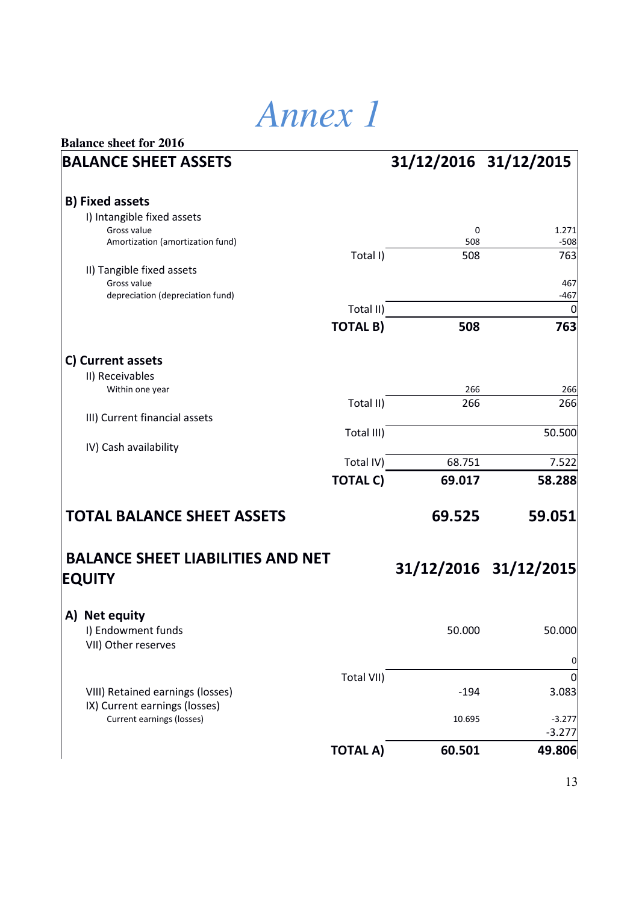## *Annex 1*

|                 | 31/12/2016 31/12/2015                                                                                                              |                                                                |
|-----------------|------------------------------------------------------------------------------------------------------------------------------------|----------------------------------------------------------------|
|                 |                                                                                                                                    |                                                                |
|                 |                                                                                                                                    |                                                                |
|                 |                                                                                                                                    |                                                                |
|                 | 0                                                                                                                                  | 1.271<br>$-508$                                                |
|                 |                                                                                                                                    | 763                                                            |
|                 |                                                                                                                                    |                                                                |
|                 |                                                                                                                                    | 467                                                            |
|                 |                                                                                                                                    | $-467$<br>0                                                    |
|                 |                                                                                                                                    |                                                                |
|                 |                                                                                                                                    | 763                                                            |
|                 |                                                                                                                                    |                                                                |
|                 |                                                                                                                                    |                                                                |
|                 | 266                                                                                                                                | 266                                                            |
| Total II)       | 266                                                                                                                                | 266                                                            |
|                 |                                                                                                                                    |                                                                |
|                 |                                                                                                                                    | 50.500                                                         |
|                 |                                                                                                                                    | 7.522                                                          |
|                 | 69.017                                                                                                                             | 58.288                                                         |
|                 |                                                                                                                                    |                                                                |
|                 | 69.525                                                                                                                             | 59.051                                                         |
|                 |                                                                                                                                    |                                                                |
|                 |                                                                                                                                    |                                                                |
|                 |                                                                                                                                    |                                                                |
|                 | 50.000                                                                                                                             | 50.000                                                         |
|                 |                                                                                                                                    |                                                                |
| Total VII)      |                                                                                                                                    | 0                                                              |
|                 |                                                                                                                                    | 3.083                                                          |
|                 | 10.695                                                                                                                             | $-3.277$                                                       |
|                 |                                                                                                                                    | $-3.277$                                                       |
| <b>TOTAL A)</b> | 60.501                                                                                                                             | 49.806                                                         |
|                 | Total I)<br>Total II)<br><b>TOTAL B)</b><br>Total III)<br>Total IV)<br><b>TOTAL C)</b><br><b>BALANCE SHEET LIABILITIES AND NET</b> | 508<br>508<br>508<br>68.751<br>31/12/2016 31/12/2015<br>$-194$ |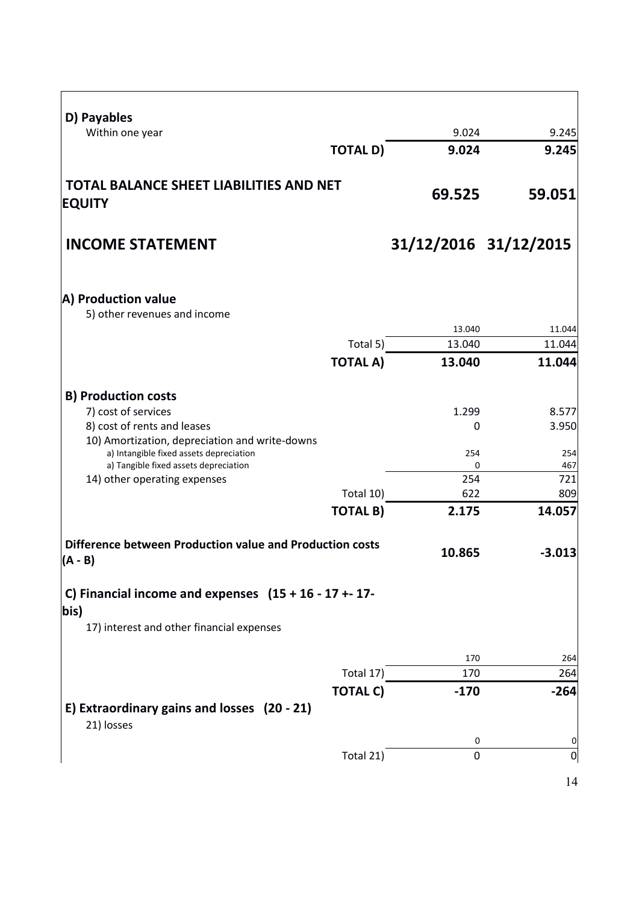| D) Payables                                                                      |                 |                       |                |
|----------------------------------------------------------------------------------|-----------------|-----------------------|----------------|
| Within one year                                                                  |                 | 9.024                 | 9.245          |
|                                                                                  | <b>TOTAL D)</b> | 9.024                 | 9.245          |
| <b>TOTAL BALANCE SHEET LIABILITIES AND NET</b><br><b>EQUITY</b>                  |                 | 69.525                | 59.051         |
| <b>INCOME STATEMENT</b>                                                          |                 | 31/12/2016 31/12/2015 |                |
| A) Production value<br>5) other revenues and income                              |                 |                       |                |
|                                                                                  |                 | 13.040                | 11.044         |
|                                                                                  | Total 5)        | 13.040                | 11.044         |
|                                                                                  | <b>TOTAL A)</b> | 13.040                | 11.044         |
| <b>B) Production costs</b>                                                       |                 |                       |                |
| 7) cost of services                                                              |                 | 1.299                 | 8.577          |
| 8) cost of rents and leases                                                      |                 | $\Omega$              | 3.950          |
| 10) Amortization, depreciation and write-downs                                   |                 |                       |                |
| a) Intangible fixed assets depreciation<br>a) Tangible fixed assets depreciation |                 | 254<br>$\Omega$       | 254<br>467     |
| 14) other operating expenses                                                     |                 | 254                   | 721            |
|                                                                                  | Total 10)       | 622                   | 809            |
|                                                                                  | <b>TOTAL B)</b> | 2.175                 | 14.057         |
| Difference between Production value and Production costs<br>$(A - B)$            |                 | 10.865                | $-3.013$       |
| C) Financial income and expenses $(15 + 16 - 17 + 17 -$<br>bis)                  |                 |                       |                |
| 17) interest and other financial expenses                                        |                 |                       |                |
|                                                                                  |                 | 170                   | 264            |
|                                                                                  | Total 17)       | 170                   | 264            |
|                                                                                  | <b>TOTAL C)</b> | $-170$                | $-264$         |
| E) Extraordinary gains and losses (20 - 21)<br>21) losses                        |                 |                       |                |
|                                                                                  |                 | 0                     | $\mathbf 0$    |
|                                                                                  | Total 21)       | $\Omega$              | $\overline{0}$ |
|                                                                                  |                 |                       | 14             |